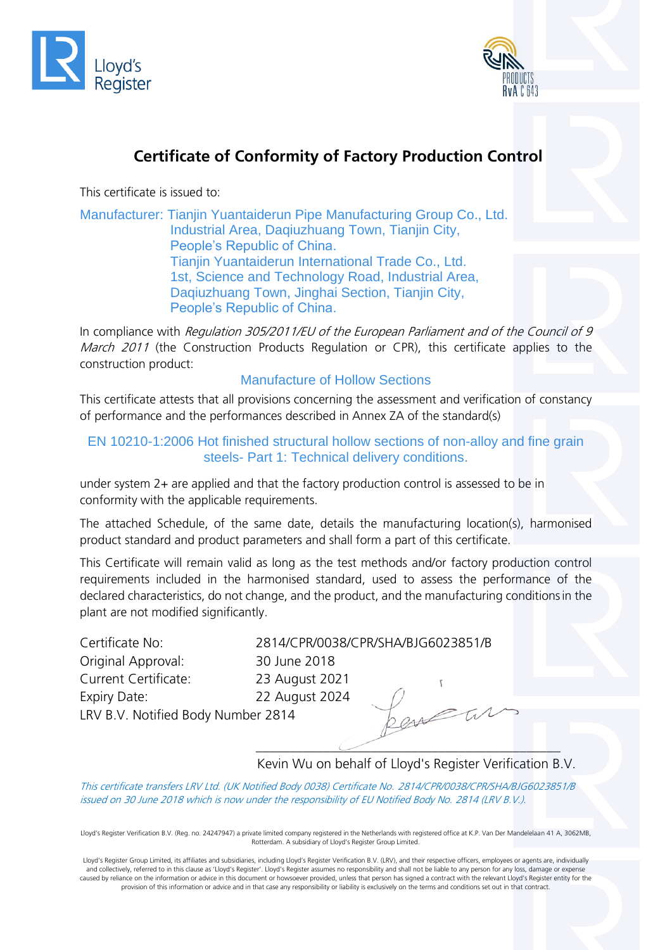



# **Certificate of Conformity of Factory Production Control**

This certificate is issued to:

Manufacturer: Tianjin Yuantaiderun Pipe Manufacturing Group Co., Ltd. Industrial Area, Daqiuzhuang Town, Tianjin City, People's Republic of China. Tianjin Yuantaiderun International Trade Co., Ltd. 1st, Science and Technology Road, Industrial Area, Daqiuzhuang Town, Jinghai Section, Tianjin City, People's Republic of China.

In compliance with Regulation 305/2011/EU of the European Parliament and of the Council of 9 March 2011 (the Construction Products Regulation or CPR), this certificate applies to the construction product:

#### Manufacture of Hollow Sections

This certificate attests that all provisions concerning the assessment and verification of constancy of performance and the performances described in Annex ZA of the standard(s)

#### EN 10210-1:2006 Hot finished structural hollow sections of non-alloy and fine grain steels- Part 1: Technical delivery conditions.

under system 2+ are applied and that the factory production control is assessed to be in conformity with the applicable requirements.

The attached Schedule, of the same date, details the manufacturing location(s), harmonised product standard and product parameters and shall form a part of this certificate.

This Certificate will remain valid as long as the test methods and/or factory production control requirements included in the harmonised standard, used to assess the performance of the declared characteristics, do not change, and the product, and the manufacturing conditionsin the plant are not modified significantly.

| Certificate No:        |
|------------------------|
| Original Approval:     |
| Current Certificate:   |
| Expiry Date:           |
| LRV B.V. Notified Body |

2814/CPR/0038/CPR/SHA/BJG6023851/B 30 June 2018 23 August 2021 22 August 2024 Number 2814

#### \_\_\_\_\_\_\_\_\_\_\_\_\_\_\_\_\_\_\_\_\_\_\_\_\_\_\_\_\_\_\_\_\_\_\_\_\_\_\_\_\_\_\_\_\_ Kevin Wu on behalf of Lloyd's Register Verification B.V.

This certificate transfers LRV Ltd. (UK Notified Body 0038) Certificate No. 2814/CPR/0038/CPR/SHA/BJG6023851/B issued on 30 June 2018 which is now under the responsibility of EU Notified Body No. 2814 (LRV B.V.).

Lloyd's Register Verification B.V. (Reg. no. 24247947) a private limited company registered in the Netherlands with registered office at K.P. Van Der Mandelelaan 41 A, 3062MB, Rotterdam. A subsidiary of Lloyd's Register Group Limited.

Lloyd's Register Group Limited, its affiliates and subsidiaries, including Lloyd's Register Verification B.V. (LRV), and their respective officers, employees or agents are, individually and collectively, referred to in this clause as 'Lloyd's Register'. Lloyd's Register assumes no responsibility and shall not be liable to any person for any loss, damage or expense caused by reliance on the information or advice in this document or howsoever provided, unless that person has signed a contract with the relevant Lloyd's Register entity for the provision of this information or advice and in that case any responsibility or liability is exclusively on the terms and conditions set out in that contract.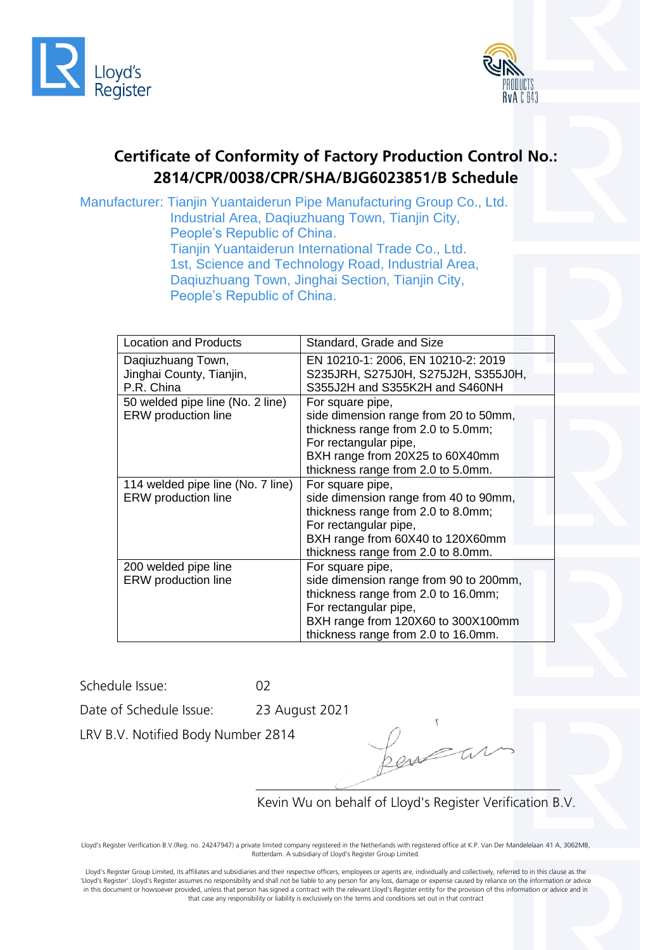



## **Certificate of Conformity of Factory Production Control No.: 2814/CPR/0038/CPR/SHA/BJG6023851/B Schedule**

Manufacturer: Tianjin Yuantaiderun Pipe Manufacturing Group Co., Ltd. Industrial Area, Daqiuzhuang Town, Tianjin City, People's Republic of China. Tianjin Yuantaiderun International Trade Co., Ltd. 1st, Science and Technology Road, Industrial Area, Daqiuzhuang Town, Jinghai Section, Tianjin City, People's Republic of China.

| <b>Location and Products</b>                                | Standard, Grade and Size                                                                                                                                                                                |  |
|-------------------------------------------------------------|---------------------------------------------------------------------------------------------------------------------------------------------------------------------------------------------------------|--|
| Daqiuzhuang Town,<br>Jinghai County, Tianjin,<br>P.R. China | EN 10210-1: 2006, EN 10210-2: 2019<br>S235JRH, S275J0H, S275J2H, S355J0H,<br>S355J2H and S355K2H and S460NH                                                                                             |  |
| 50 welded pipe line (No. 2 line)<br>ERW production line     | For square pipe,<br>side dimension range from 20 to 50mm,<br>thickness range from 2.0 to 5.0mm;<br>For rectangular pipe,<br>BXH range from 20X25 to 60X40mm<br>thickness range from 2.0 to 5.0mm.       |  |
| 114 welded pipe line (No. 7 line)<br>ERW production line    | For square pipe,<br>side dimension range from 40 to 90mm,<br>thickness range from 2.0 to 8.0mm;<br>For rectangular pipe,<br>BXH range from 60X40 to 120X60mm<br>thickness range from 2.0 to 8.0mm.      |  |
| 200 welded pipe line<br>ERW production line                 | For square pipe,<br>side dimension range from 90 to 200mm,<br>thickness range from 2.0 to 16.0mm;<br>For rectangular pipe,<br>BXH range from 120X60 to 300X100mm<br>thickness range from 2.0 to 16.0mm. |  |

Schedule Issue: 02

Date of Schedule Issue: 23 August 2021

LRV B.V. Notified Body Number 2814

\_\_\_\_\_\_\_\_\_\_\_\_\_\_\_\_\_\_\_\_\_\_\_\_\_\_\_\_\_\_\_\_\_\_\_\_\_\_\_\_\_\_\_\_\_

Kevin Wu on behalf of Lloyd's Register Verification B.V.

Lloyd's Register Verification B.V.(Reg. no. 24247947) a private limited company registered in the Netherlands with registered office at K.P. Van Der Mandelelaan 41 A, 3062MB, Rotterdam. A subsidiary of Lloyd's Register Group Limited.

Lloyd's Register Group Limited, its affiliates and subsidiaries and their respective officers, employees or agents are, individually and collectively, referred to in this clause as the 'Lloyd's Register'. Lloyd's Register assumes no responsibility and shall not be liable to any person for any loss, damage or expense caused by reliance on the information or advice in this document or howsoever provided, unless that person has signed a contract with the relevant Lloyd's Register entity for the provision of this information or advice and in that case any responsibility or liability is exclusively on the terms and conditions set out in that contract